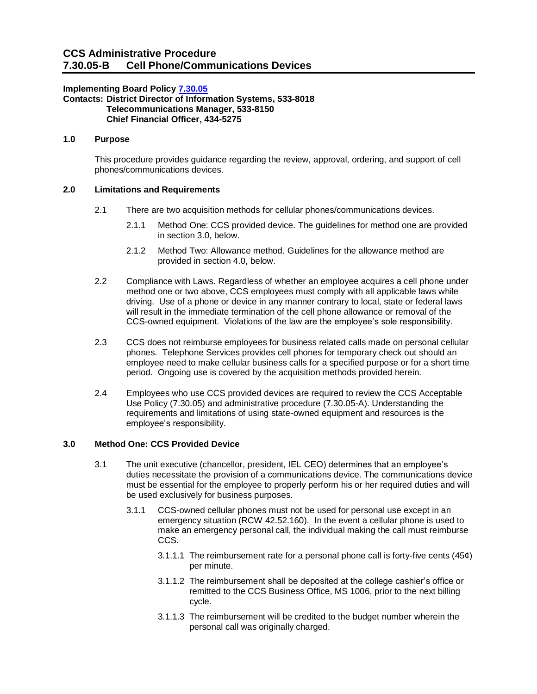### **Implementing Board Policy [7.30.05](https://ccs.spokane.edu/About-Us/Leadership/Board-of-Trustees/Policies-Procedures/Chapter7#AccWE2-4)**

#### **Contacts: District Director of Information Systems, 533-8018 Telecommunications Manager, 533-8150 Chief Financial Officer, 434-5275**

# **1.0 Purpose**

This procedure provides guidance regarding the review, approval, ordering, and support of cell phones/communications devices.

### **2.0 Limitations and Requirements**

- 2.1 There are two acquisition methods for cellular phones/communications devices.
	- 2.1.1 Method One: CCS provided device. The guidelines for method one are provided in section 3.0, below.
	- 2.1.2 Method Two: Allowance method. Guidelines for the allowance method are provided in section 4.0, below.
- 2.2 Compliance with Laws. Regardless of whether an employee acquires a cell phone under method one or two above, CCS employees must comply with all applicable laws while driving. Use of a phone or device in any manner contrary to local, state or federal laws will result in the immediate termination of the cell phone allowance or removal of the CCS-owned equipment. Violations of the law are the employee's sole responsibility.
- 2.3 CCS does not reimburse employees for business related calls made on personal cellular phones. Telephone Services provides cell phones for temporary check out should an employee need to make cellular business calls for a specified purpose or for a short time period. Ongoing use is covered by the acquisition methods provided herein.
- 2.4 Employees who use CCS provided devices are required to review the CCS Acceptable Use Policy (7.30.05) and administrative procedure (7.30.05-A). Understanding the requirements and limitations of using state-owned equipment and resources is the employee's responsibility.

# **3.0 Method One: CCS Provided Device**

- 3.1 The unit executive (chancellor, president, IEL CEO) determines that an employee's duties necessitate the provision of a communications device. The communications device must be essential for the employee to properly perform his or her required duties and will be used exclusively for business purposes.
	- 3.1.1 CCS-owned cellular phones must not be used for personal use except in an emergency situation (RCW 42.52.160). In the event a cellular phone is used to make an emergency personal call, the individual making the call must reimburse CCS.
		- 3.1.1.1 The reimbursement rate for a personal phone call is forty-five cents (45¢) per minute.
		- 3.1.1.2 The reimbursement shall be deposited at the college cashier's office or remitted to the CCS Business Office, MS 1006, prior to the next billing cycle.
		- 3.1.1.3 The reimbursement will be credited to the budget number wherein the personal call was originally charged.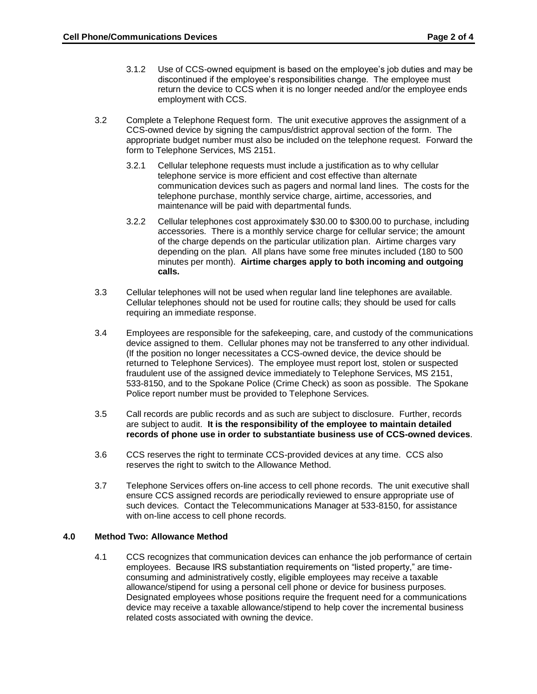- 3.1.2 Use of CCS-owned equipment is based on the employee's job duties and may be discontinued if the employee's responsibilities change. The employee must return the device to CCS when it is no longer needed and/or the employee ends employment with CCS.
- 3.2 Complete a Telephone Request form. The unit executive approves the assignment of a CCS-owned device by signing the campus/district approval section of the form. The appropriate budget number must also be included on the telephone request. Forward the form to Telephone Services, MS 2151.
	- 3.2.1 Cellular telephone requests must include a justification as to why cellular telephone service is more efficient and cost effective than alternate communication devices such as pagers and normal land lines. The costs for the telephone purchase, monthly service charge, airtime, accessories, and maintenance will be paid with departmental funds.
	- 3.2.2 Cellular telephones cost approximately \$30.00 to \$300.00 to purchase, including accessories. There is a monthly service charge for cellular service; the amount of the charge depends on the particular utilization plan. Airtime charges vary depending on the plan. All plans have some free minutes included (180 to 500 minutes per month). **Airtime charges apply to both incoming and outgoing calls.**
- 3.3 Cellular telephones will not be used when regular land line telephones are available. Cellular telephones should not be used for routine calls; they should be used for calls requiring an immediate response.
- 3.4 Employees are responsible for the safekeeping, care, and custody of the communications device assigned to them. Cellular phones may not be transferred to any other individual. (If the position no longer necessitates a CCS-owned device, the device should be returned to Telephone Services). The employee must report lost, stolen or suspected fraudulent use of the assigned device immediately to Telephone Services, MS 2151, 533-8150, and to the Spokane Police (Crime Check) as soon as possible. The Spokane Police report number must be provided to Telephone Services.
- 3.5 Call records are public records and as such are subject to disclosure. Further, records are subject to audit. **It is the responsibility of the employee to maintain detailed records of phone use in order to substantiate business use of CCS-owned devices**.
- 3.6 CCS reserves the right to terminate CCS-provided devices at any time. CCS also reserves the right to switch to the Allowance Method.
- 3.7 Telephone Services offers on-line access to cell phone records. The unit executive shall ensure CCS assigned records are periodically reviewed to ensure appropriate use of such devices. Contact the Telecommunications Manager at 533-8150, for assistance with on-line access to cell phone records.

### **4.0 Method Two: Allowance Method**

4.1 CCS recognizes that communication devices can enhance the job performance of certain employees. Because IRS substantiation requirements on "listed property," are timeconsuming and administratively costly, eligible employees may receive a taxable allowance/stipend for using a personal cell phone or device for business purposes. Designated employees whose positions require the frequent need for a communications device may receive a taxable allowance/stipend to help cover the incremental business related costs associated with owning the device.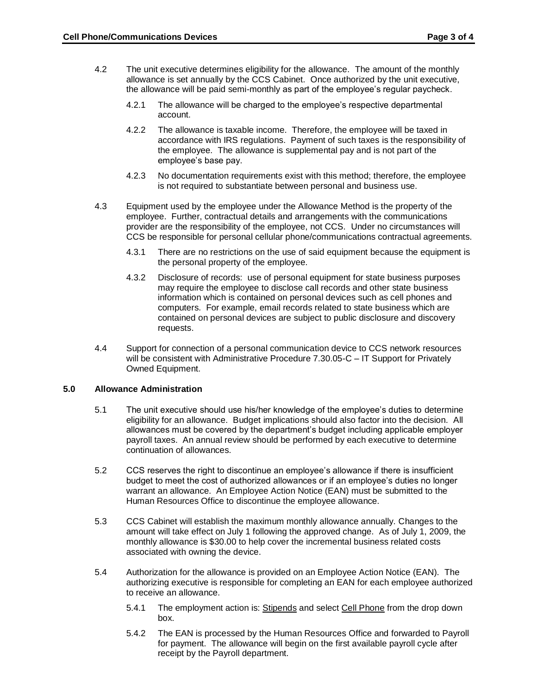- 4.2 The unit executive determines eligibility for the allowance. The amount of the monthly allowance is set annually by the CCS Cabinet. Once authorized by the unit executive, the allowance will be paid semi-monthly as part of the employee's regular paycheck.
	- 4.2.1 The allowance will be charged to the employee's respective departmental account.
	- 4.2.2 The allowance is taxable income. Therefore, the employee will be taxed in accordance with IRS regulations. Payment of such taxes is the responsibility of the employee. The allowance is supplemental pay and is not part of the employee's base pay.
	- 4.2.3 No documentation requirements exist with this method; therefore, the employee is not required to substantiate between personal and business use.
- 4.3 Equipment used by the employee under the Allowance Method is the property of the employee. Further, contractual details and arrangements with the communications provider are the responsibility of the employee, not CCS. Under no circumstances will CCS be responsible for personal cellular phone/communications contractual agreements.
	- 4.3.1 There are no restrictions on the use of said equipment because the equipment is the personal property of the employee.
	- 4.3.2 Disclosure of records: use of personal equipment for state business purposes may require the employee to disclose call records and other state business information which is contained on personal devices such as cell phones and computers. For example, email records related to state business which are contained on personal devices are subject to public disclosure and discovery requests.
- 4.4 Support for connection of a personal communication device to CCS network resources will be consistent with Administrative Procedure 7.30.05-C – IT Support for Privately Owned Equipment.

### **5.0 Allowance Administration**

- 5.1 The unit executive should use his/her knowledge of the employee's duties to determine eligibility for an allowance. Budget implications should also factor into the decision. All allowances must be covered by the department's budget including applicable employer payroll taxes. An annual review should be performed by each executive to determine continuation of allowances.
- 5.2 CCS reserves the right to discontinue an employee's allowance if there is insufficient budget to meet the cost of authorized allowances or if an employee's duties no longer warrant an allowance. An Employee Action Notice (EAN) must be submitted to the Human Resources Office to discontinue the employee allowance.
- 5.3 CCS Cabinet will establish the maximum monthly allowance annually. Changes to the amount will take effect on July 1 following the approved change. As of July 1, 2009, the monthly allowance is \$30.00 to help cover the incremental business related costs associated with owning the device.
- 5.4 Authorization for the allowance is provided on an Employee Action Notice (EAN). The authorizing executive is responsible for completing an EAN for each employee authorized to receive an allowance.
	- 5.4.1 The employment action is: Stipends and select Cell Phone from the drop down box.
	- 5.4.2 The EAN is processed by the Human Resources Office and forwarded to Payroll for payment. The allowance will begin on the first available payroll cycle after receipt by the Payroll department.